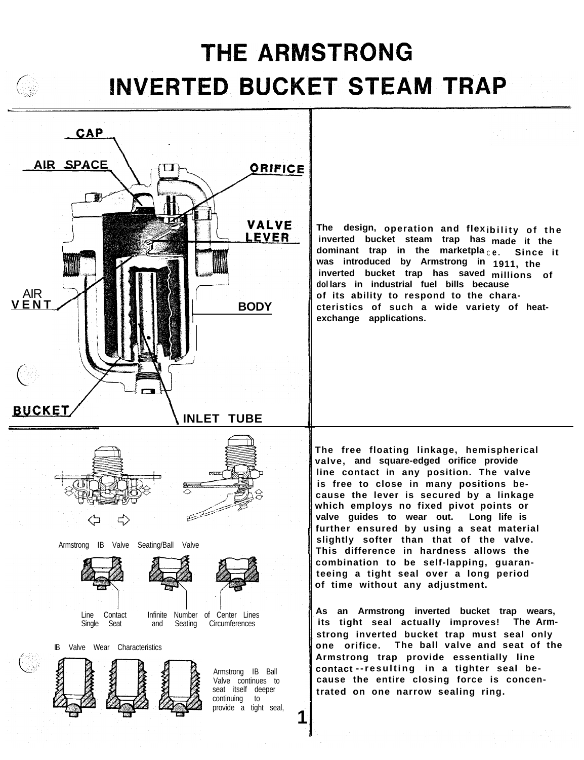# **THE ARMSTRONG INVERTED BUCKET STEAM TRAP**



**1**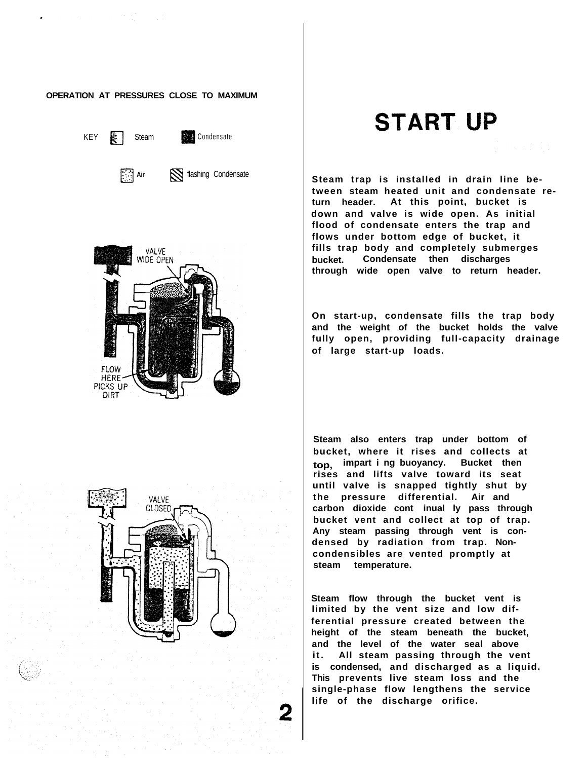#### **OPERATION AT PRESSURES CLOSE TO MAXIMUM**

KEY **a** Steam **Condensate** 



# **START UP**

**Air** S flashing Condensate **Superified Steam trap is installed in drain line between steam heated unit and condensate return header. At this point, bucket is down and valve is wide open. As initial flood of condensate enters the trap and flows under bottom edge of bucket, it fills trap body and completely submerges bucket. Condensate then discharges through wide open valve to return header.**

> **On start-up, condensate fills the trap body and the weight of the bucket holds the valve fully open, providing full-capacity drainage of large start-up loads.**

**Steam also enters trap under bottom of bucket, where it rises and collects at top, impart i ng buoyancy. Bucket then rises and lifts valve toward its seat until valve is snapped tightly shut by the pressure differential. Air and carbon dioxide cont inual ly pass through bucket vent and collect at top of trap. Any steam passing through vent is condensed by radiation from trap. Noncondensibles are vented promptly at steam temperature.**

**Steam flow through the bucket vent is limited by the vent size and low differential pressure created between the height of the steam beneath the bucket, and the level of the water seal above it. All steam passing through the vent is condensed, and discharged as a liquid. This prevents live steam loss and the single-phase flow lengthens the service life of the discharge orifice.**



2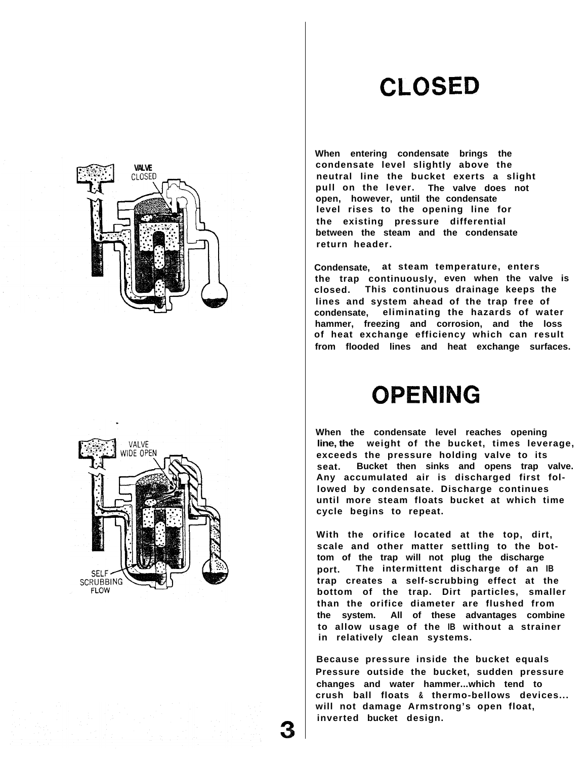## **CLOSED**

**When entering condensate brings the condensate level slightly above the neutral line the bucket exerts a slight pull on the lever. The valve does not open, however, until the condensate level rises to the opening line for the existing pressure differential between the steam and the condensate return header.**

**Condensate, at steam temperature, enters the trap continuously, even when the valve is closed. This continuous drainage keeps the lines and system ahead of the trap free of condensate, eliminating the hazards of water hammer, freezing and corrosion, and the loss of heat exchange efficiency which can result from flooded lines and heat exchange surfaces.**

## **OPENING**

**When the condensate level reaches opening line, the weight of the bucket, times leverage, exceeds the pressure holding valve to its seat. Bucket then sinks and opens trap valve. Any accumulated air is discharged first followed by condensate. Discharge continues until more steam floats bucket at which time cycle begins to repeat.**

**With the orifice located at the top, dirt, scale and other matter settling to the bottom of the trap will not plug the discharge port. The intermittent discharge of an IB trap creates a self-scrubbing effect at the bottom of the trap. Dirt particles, smaller than the orifice diameter are flushed from the system. All of these advantages combine to allow usage of the IB without a strainer in relatively clean systems.**

**Because pressure inside the bucket equals Pressure outside the bucket, sudden pressure changes and water hammer...which tend to crush ball floats & thermo-bellows devices... will not damage Armstrong's open float, inverted bucket design.**



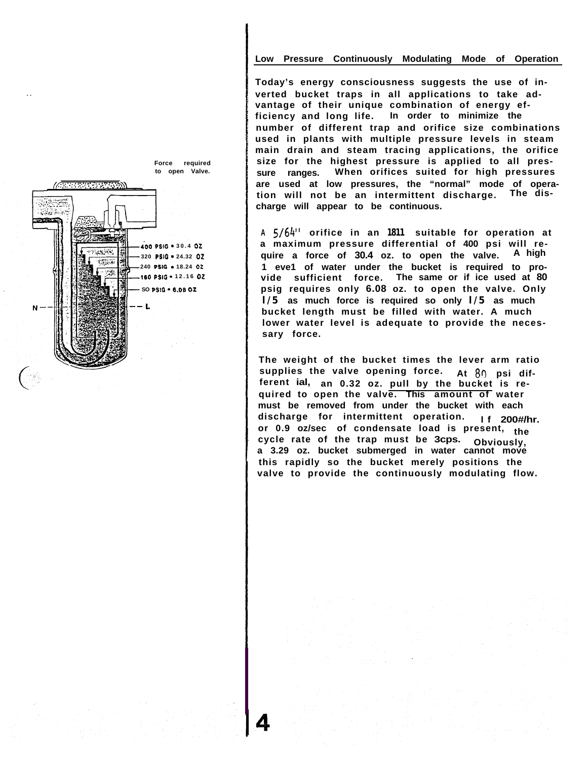#### **Low Pressure Continuously Modulating Mode of Operation**

**Today's energy consciousness suggests the use of inverted bucket traps in all applications to take advantage of their unique combination of energy efficiency and long life. In order to minimize the number of different trap and orifice size combinations used in plants with multiple pressure levels in steam main drain and steam tracing applications, the orifice size for the highest pressure is applied to all pressure ranges. When orifices suited for high pressures are used at low pressures, the "normal" mode of operation will not be an intermittent discharge. The discharge will appear to be continuous.**

**<sup>A</sup> S/64" orifice in an 1811 suitable for operation at a maximum pressure differential of 400 psi will require a force of 30.4 oz. to open the valve. A high 1 eve1 of water under the bucket is required to provide sufficient force. The same or if ice used at 80 psig requires only 6.08 oz. to open the valve. Only l/5 as much force is required so only l/5 as much bucket length must be filled with water. A much lower water level is adequate to provide the necessary force.**

**The weight of the bucket times the lever arm ratio supplies the valve opening force. At <sup>80</sup> psi dif- ferent ial, an 0.32 oz. pull by the bucket is required to open the valve. This amount of water must be removed from under the bucket with each discharge for intermittent operation. If 200#/hr. or 0.9 oz/sec of condensate load is present, the cycle rate of the trap must be 3cps. Obviously, a 3.29 oz. bucket submerged in water cannot move this rapidly so the bucket merely positions the valve to provide the continuously modulating flow.**



**"'I . .**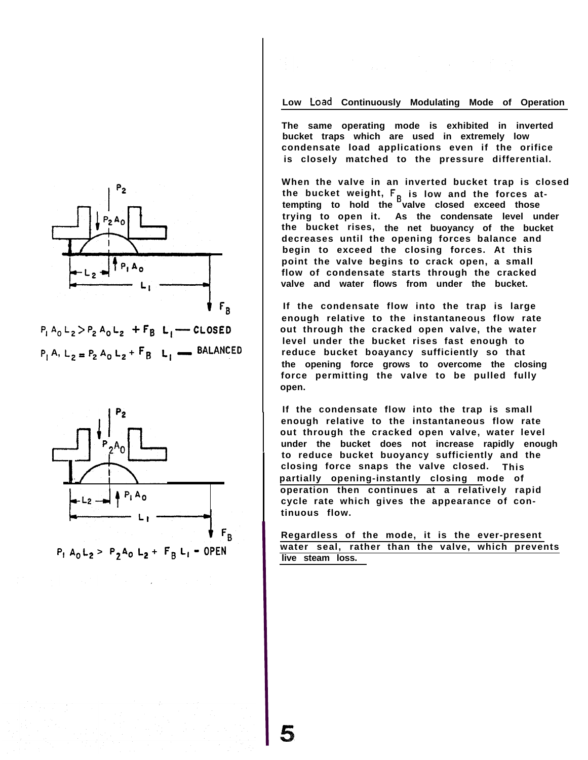

 $P_1 A_0 L_2 > P_2 A_0 L_2$  +  $F_3 L_1$  - CLOSED  $P_1$  A,  $L_2 = P_2$  A<sub>0</sub>  $L_2 + F_3$   $L_1$   $\longrightarrow$  BALANCED



#### Low Load Continuously Modulating Mode of Operation

**The same operating mode is exhibited in inverted bucket traps which are used in extremely low condensate load applications even if the orifice is closely matched to the pressure differential.**

**When the valve in an inverted bucket trap is closed** the bucket weight, **F<sub>B</sub>** is low and the forces at**tempting to hold the valve closed exceed those trying to open it. As the condensate level under the bucket rises, the net buoyancy of the bucket decreases until the opening forces balance and begin to exceed the closing forces. At this point the valve begins to crack open, a small flow of condensate starts through the cracked valve and water flows from under the bucket.**

**If the condensate flow into the trap is large enough relative to the instantaneous flow rate out through the cracked open valve, the water level under the bucket rises fast enough to reduce bucket boayancy sufficiently so that the opening force grows to overcome the closing force permitting the valve to be pulled fully open.**

**If the condensate flow into the trap is small enough relative to the instantaneous flow rate out through the cracked open valve, water level under the bucket does not increase rapidly enough to reduce bucket buoyancy sufficiently and the closing force snaps the valve closed. This partially opening-instantly closing mode of operation then continues at a relatively rapid cycle rate which gives the appearance of continuous flow.**

**Regardless of the mode, it is the ever-present water seal, rather than the valve, which prevents live steam loss.**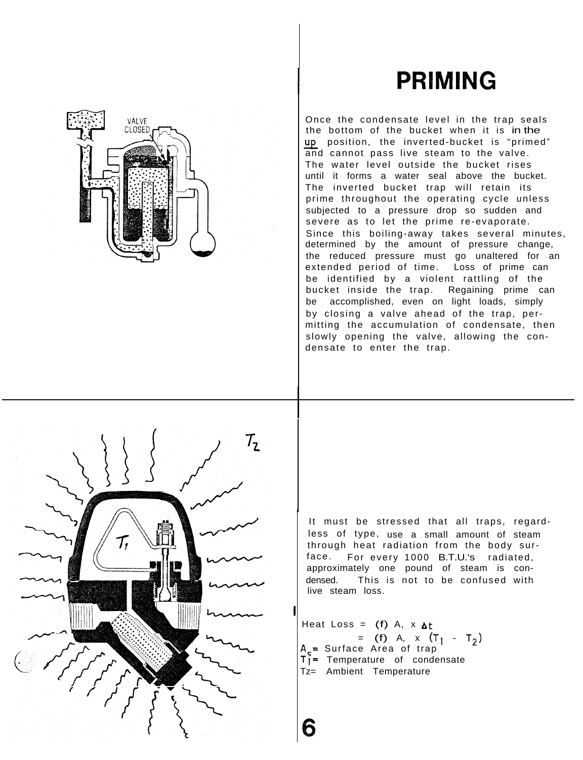# **PRIMING**



Once the condensate level in the trap seals the bottom of the bucket when it is in the up position, the inverted-bucket is "primed" and cannot pass live steam to the valve. The water level outside the bucket rises until it forms a water seal above the bucket. The inverted bucket trap will retain its prime throughout the operating cycle unless subjected to a pressure drop so sudden and severe as to let the prime re-evaporate. Since this boiling-away takes several minutes, determined by the amount of pressure change, the reduced pressure must go unaltered for an extended period of time. Loss of prime can be identified by a violent rattling of the bucket inside the trap. Regaining prime can be accomplished, even on light loads, simply by closing a valve ahead of the trap, permitting the accumulation of condensate, then slowly opening the valve, allowing the condensate to enter the trap.



VALVE CI OSED

> It must be stressed that all traps, regardless of type, use a small amount of steam through heat radiation from the body surface. For every 1000 B.T.U.'s radiated, approximately one pound of steam is condensed. This is not to be confused with live steam loss.

Heat Loss =  $(f)$  A, x  $\Delta t$ A,= Surface Area of trap = (f) A, x  $(T_1 - T_2)$  $T_1^2$  Temperature of condensate Tz= Ambient Temperature

I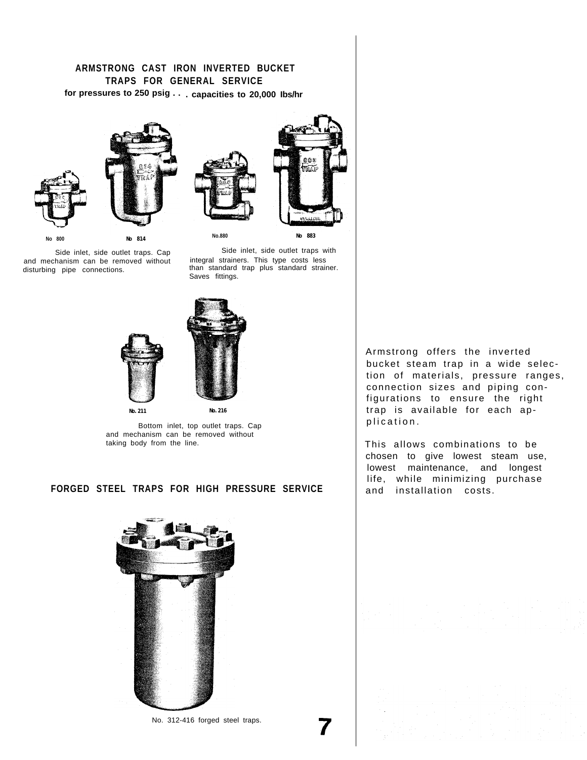## **ARMSTRONG CAST IRON INVERTED BUCKET TRAPS FOR GENERAL SERVICE for pressures to 250 psig . . . capacities to 20,000 Ibs/hr**









Side inlet, side outlet traps. Cap and mechanism can be removed without disturbing pipe connections.

Side inlet, side outlet traps with integral strainers. This type costs less than standard trap plus standard strainer. Saves fittings.

 $7577$ 





Bottom inlet, top outlet traps. Cap and mechanism can be removed without taking body from the line.

### **FORGED STEEL TRAPS FOR HIGH PRESSURE SERVICE**



No. 312-416 forged steel traps. **7**



This allows combinations to be chosen to give lowest steam use, lowest maintenance, and longest life, while minimizing purchase and installation costs.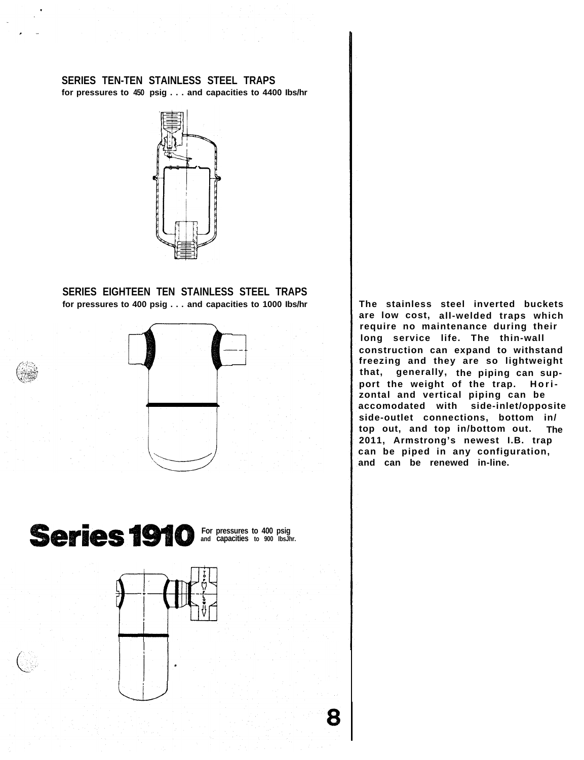### **SERIES TEN-TEN STAINLESS STEEL TRAPS for pressures to 450 psig . . . and capacities to 4400 Ibs/hr**



**SERIES EIGHTEEN TEN STAINLESS STEEL TRAPS for pressures to 400 psig . . . and capacities to 1000 Ibs/hr**



**are low cost, all-welded traps which require no maintenance during their long service life. The thin-wall construction can expand to withstand freezing and they are so lightweight that, generally, the piping can support the weight of the trap. Horizontal and vertical piping can be accomodated with side-inlet/opposite side-outlet connections, bottom in/ top out, and top in/bottom out. The 2011, Armstrong's newest I.B. trap can be piped in any configuration, and can be renewed in-line.**

**The stainless steel inverted buckets**

**For pressures to 400 psig and capacities to 900 IbsJhr.**